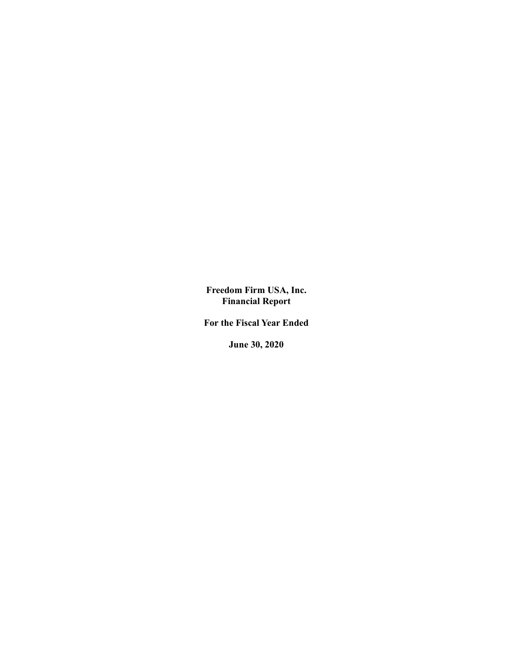Freedom Firm USA, Inc. Financial Report

For the Fiscal Year Ended

June 30, 2020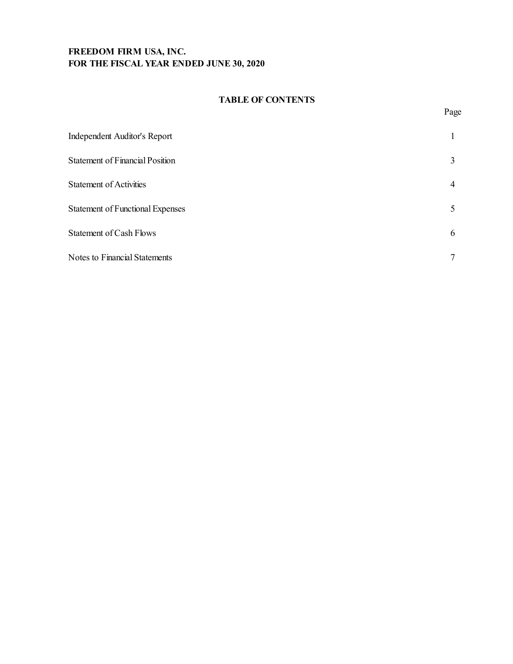# FREEDOM FIRM USA, INC. FOR THE FISCAL YEAR ENDED JUNE 30, 2020

## TABLE OF CONTENTS

| Page           |
|----------------|
|                |
|                |
|                |
|                |
|                |
| -1             |
| $\mathfrak{Z}$ |
| $\overline{4}$ |
| 5              |
| 6              |
| $\overline{7}$ |
|                |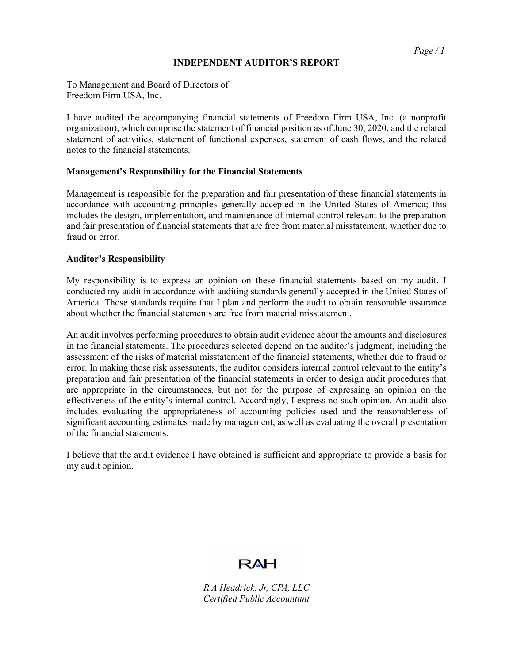## INDEPENDENT AUDITOR'S REPORT

To Management and Board of Directors of Freedom Firm USA, Inc.

I have audited the accompanying financial statements of Freedom Firm USA, Inc. (a nonprofit organization), which comprise the statement of financial position as of June 30, 2020, and the related statement of activities, statement of functional expenses, statement of cash flows, and the related notes to the financial statements.

## Management's Responsibility for the Financial Statements

Management is responsible for the preparation and fair presentation of these financial statements in accordance with accounting principles generally accepted in the United States of America; this includes the design, implementation, and maintenance of internal control relevant to the preparation and fair presentation of financial statements that are free from material misstatement, whether due to fraud or error.

## Auditor's Responsibility

My responsibility is to express an opinion on these financial statements based on my audit. I conducted my audit in accordance with auditing standards generally accepted in the United States of America. Those standards require that I plan and perform the audit to obtain reasonable assurance about whether the financial statements are free from material misstatement.

An audit involves performing procedures to obtain audit evidence about the amounts and disclosures in the financial statements. The procedures selected depend on the auditor's judgment, including the assessment of the risks of material misstatement of the financial statements, whether due to fraud or error. In making those risk assessments, the auditor considers internal control relevant to the entity's preparation and fair presentation of the financial statements in order to design audit procedures that are appropriate in the circumstances, but not for the purpose of expressing an opinion on the effectiveness of the entity's internal control. Accordingly, I express no such opinion. An audit also includes evaluating the appropriateness of accounting policies used and the reasonableness of significant accounting estimates made by management, as well as evaluating the overall presentation of the financial statements.

I believe that the audit evidence I have obtained is sufficient and appropriate to provide a basis for my audit opinion.



R A Headrick, Jr, CPA, LLC Certified Public Accountant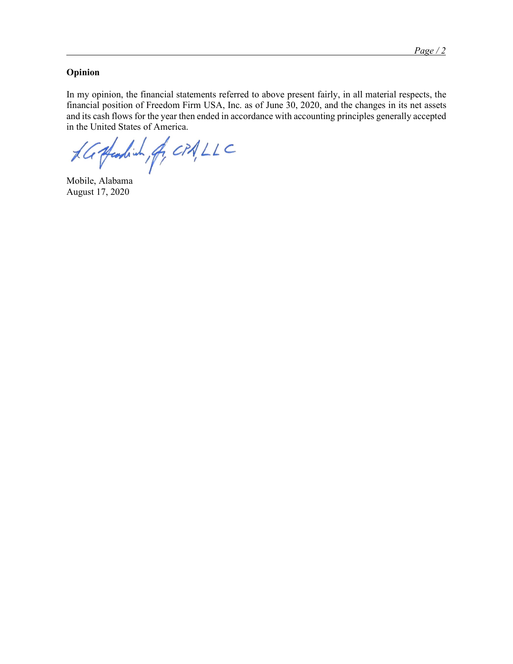## Opinion

In my opinion, the financial statements referred to above present fairly, in all material respects, the financial position of Freedom Firm USA, Inc. as of June 30, 2020, and the changes in its net assets and its cash flows for the year then ended in accordance with accounting principles generally accepted in the United States of America.

 $AC$  Afeadinh, fr, CPA, LLC

August 17, 2020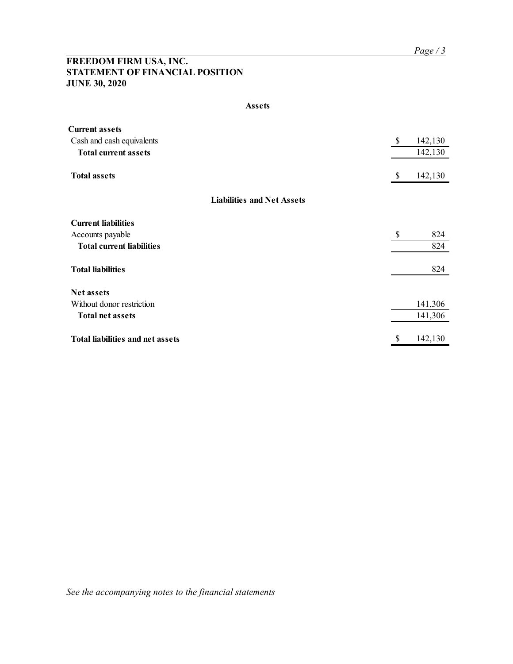## FREEDOM FIRM USA, INC. STATEMENT OF FINANCIAL POSITION JUNE 30, 2020

### Assets

|                                                                                   | Page/3                            |
|-----------------------------------------------------------------------------------|-----------------------------------|
| FREEDOM FIRM USA, INC.<br>STATEMENT OF FINANCIAL POSITION<br><b>JUNE 30, 2020</b> |                                   |
| <b>Assets</b>                                                                     |                                   |
| <b>Current assets</b>                                                             |                                   |
| Cash and cash equivalents<br><b>Total current assets</b>                          | 142,130<br>$\sqrt{\ }$<br>142,130 |
| <b>Total assets</b>                                                               | 142,130<br>\$                     |
| <b>Liabilities and Net Assets</b>                                                 |                                   |
| <b>Current liabilities</b>                                                        |                                   |
| Accounts payable<br><b>Total current liabilities</b>                              | 824<br>\$<br>824                  |
|                                                                                   |                                   |
| <b>Total liabilities</b>                                                          | 824                               |
| Net assets                                                                        |                                   |
| Without donor restriction                                                         | 141,306                           |
| <b>Total net assets</b>                                                           | 141,306                           |
| Total liabilities and net assets                                                  | 142,130<br>$\mathbb{S}$           |

See the accompanying notes to the financial statements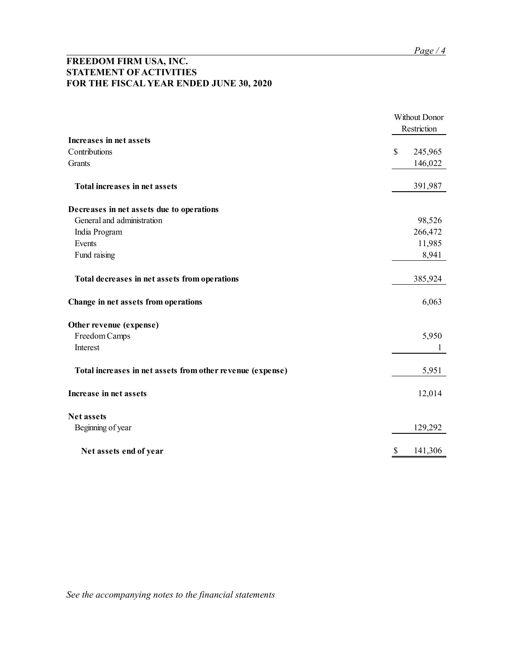# FREEDOM FIRM USA, INC. STATEMENT OF ACTIVITIES FOR THE FISCAL YEAR ENDED JUNE 30, 2020

|                                                                                                     | Page/4                       |
|-----------------------------------------------------------------------------------------------------|------------------------------|
| FREEDOM FIRM USA, INC.<br><b>STATEMENT OF ACTIVITIES</b><br>FOR THE FISCAL YEAR ENDED JUNE 30, 2020 |                              |
|                                                                                                     | Without Donor<br>Restriction |
| Increases in net assets                                                                             |                              |
| Contributions                                                                                       | 245,965<br>S                 |
| Grants                                                                                              | 146,022                      |
| Total increases in net assets                                                                       | 391,987                      |
| Decreases in net assets due to operations                                                           |                              |
| General and administration                                                                          | 98,526                       |
| India Program                                                                                       | 266,472                      |
| Events                                                                                              | 11,985                       |
| Fund raising                                                                                        | 8,941                        |
| Total decreases in net assets from operations                                                       | 385,924                      |
| Change in net assets from operations                                                                | 6,063                        |
| Other revenue (expense)                                                                             |                              |
| Freedom Camps                                                                                       | 5,950                        |
| Interest                                                                                            | $\mathbf{I}$                 |
| Total increases in net assets from other revenue (expense)                                          | 5,951                        |
| Increase in net assets                                                                              | 12,014                       |
| Net assets                                                                                          |                              |
| Beginning of year                                                                                   | 129,292                      |
| Net assets end of year                                                                              | 141,306<br>S                 |

See the accompanying notes to the financial statements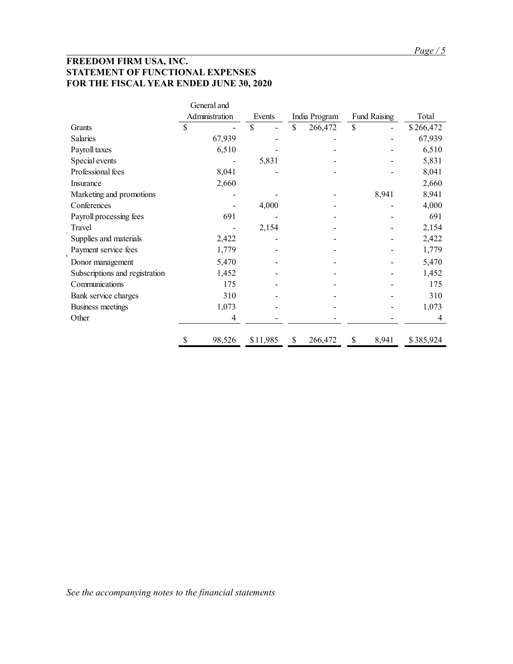# FREEDOM FIRM USA, INC. STATEMENT OF FUNCTIONAL EXPENSES FOR THE FISCAL YEAR ENDED JUNE 30, 2020

|                                         |                          |                                         |                         |                                         | Page/5         |
|-----------------------------------------|--------------------------|-----------------------------------------|-------------------------|-----------------------------------------|----------------|
| FREEDOM FIRM USA, INC.                  |                          |                                         |                         |                                         |                |
| STATEMENT OF FUNCTIONAL EXPENSES        |                          |                                         |                         |                                         |                |
| FOR THE FISCAL YEAR ENDED JUNE 30, 2020 |                          |                                         |                         |                                         |                |
|                                         |                          |                                         |                         |                                         |                |
|                                         | General and              |                                         |                         |                                         |                |
|                                         | Administration           | Events                                  | India Program           | Fund Raising                            | Total          |
| Grants                                  | \$<br>$\blacksquare$     | $\mathbb S$<br>$\overline{\phantom{a}}$ | $\mathbb{S}$<br>266,472 | $\mathbb S$<br>$\overline{\phantom{a}}$ | \$266,472      |
| Salaries                                | 67,939                   |                                         |                         |                                         | 67,939         |
| Payroll taxes                           | 6,510                    |                                         |                         | $\overline{\phantom{a}}$                | 6,510          |
| Special events                          | $\blacksquare$           | 5,831                                   |                         | $\overline{\phantom{a}}$                | 5,831          |
| Professional fees                       | 8,041                    | $\overline{\phantom{a}}$                |                         | $\overline{\phantom{a}}$                | 8,041          |
| Insurance                               | 2,660                    |                                         |                         |                                         | 2,660          |
| Marketing and promotions                | $\overline{\phantom{a}}$ | $\overline{\phantom{a}}$                |                         | 8,941                                   | 8,941          |
| Conferences                             | $\overline{\phantom{a}}$ | 4,000                                   |                         | $\overline{\phantom{a}}$                | 4,000          |
| Payroll processing fees                 | 691                      | $\overline{\phantom{a}}$                |                         | $\overline{\phantom{a}}$                | 691            |
| Travel                                  | $\overline{\phantom{a}}$ | 2,154                                   |                         | $\overline{\phantom{a}}$                | 2,154          |
| Supplies and materials                  | 2,422                    | ٠                                       |                         | $\blacksquare$                          | 2,422          |
| Payment service fees                    | 1,779                    |                                         |                         |                                         | 1,779          |
| Donor management                        | 5,470                    | $\overline{\phantom{a}}$                |                         |                                         | 5,470          |
| Subscriptions and registration          | 1,452                    |                                         |                         |                                         | 1,452          |
| Communications                          | 175                      |                                         |                         |                                         | 175            |
| Bank service charges                    | 310                      |                                         |                         |                                         | 310            |
|                                         | 1,073                    |                                         |                         |                                         | 1,073          |
|                                         | $\overline{4}$           |                                         |                         |                                         | $\overline{4}$ |
| Business meetings                       |                          |                                         |                         |                                         |                |
| Other                                   |                          |                                         |                         |                                         |                |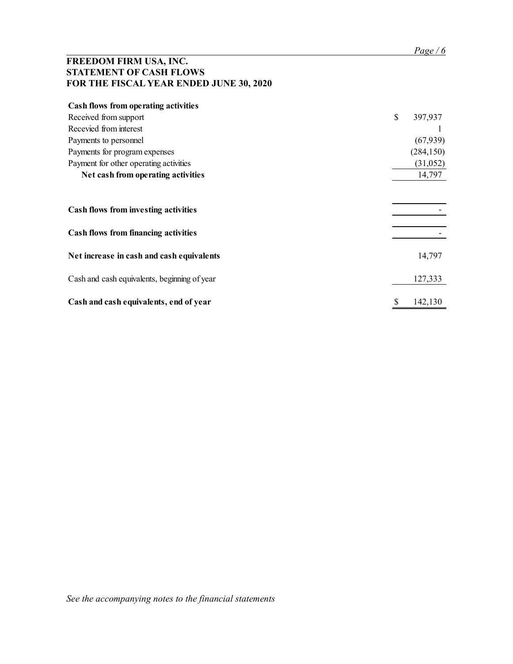# FREEDOM FIRM USA, INC. STATEMENT OF CASH FLOWS FOR THE FISCAL YEAR ENDED JUNE 30, 2020

| FREEDOM FIRM USA, INC.                       | Page/6                   |
|----------------------------------------------|--------------------------|
| <b>STATEMENT OF CASH FLOWS</b>               |                          |
| FOR THE FISCAL YEAR ENDED JUNE 30, 2020      |                          |
| Cash flows from operating activities         |                          |
| Received from support                        | 397,937<br>\$            |
| Recevied from interest                       |                          |
| Payments to personnel                        | (67, 939)                |
| Payments for program expenses                | (284, 150)               |
| Payment for other operating activities       | (31,052)                 |
| Net cash from operating activities           | 14,797                   |
| Cash flows from investing activities         |                          |
|                                              |                          |
| <b>Cash flows from financing activities</b>  |                          |
| Net increase in cash and cash equivalents    | 14,797                   |
| Cash and cash equivalents, beginning of year | 127,333                  |
| Cash and cash equivalents, end of year       | 142,130<br>$\frac{1}{2}$ |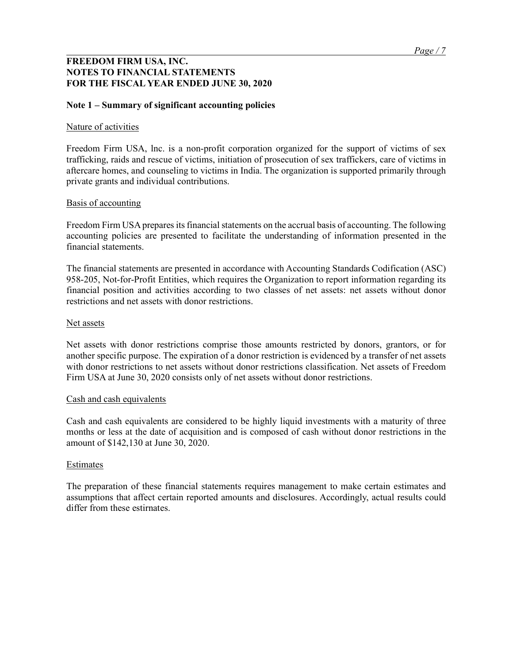## FREEDOM FIRM USA, INC. NOTES TO FINANCIAL STATEMENTS FOR THE FISCAL YEAR ENDED JUNE 30, 2020

## Note 1 – Summary of significant accounting policies

#### Nature of activities

Freedom Firm USA, lnc. is a non-profit corporation organized for the support of victims of sex trafficking, raids and rescue of victims, initiation of prosecution of sex traffickers, care of victims in aftercare homes, and counseling to victims in India. The organization is supported primarily through private grants and individual contributions.

### Basis of accounting

Freedom Firm USA prepares its financial statements on the accrual basis of accounting. The following accounting policies are presented to facilitate the understanding of information presented in the financial statements.

The financial statements are presented in accordance with Accounting Standards Codification (ASC) 958-205, Not-for-Profit Entities, which requires the Organization to report information regarding its financial position and activities according to two classes of net assets: net assets without donor restrictions and net assets with donor restrictions.

#### Net assets

Net assets with donor restrictions comprise those amounts restricted by donors, grantors, or for another specific purpose. The expiration of a donor restriction is evidenced by a transfer of net assets with donor restrictions to net assets without donor restrictions classification. Net assets of Freedom Firm USA at June 30, 2020 consists only of net assets without donor restrictions.

#### Cash and cash equivalents

Cash and cash equivalents are considered to be highly liquid investments with a maturity of three months or less at the date of acquisition and is composed of cash without donor restrictions in the amount of \$142,130 at June 30, 2020.

#### Estimates

The preparation of these financial statements requires management to make certain estimates and assumptions that affect certain reported amounts and disclosures. Accordingly, actual results could differ from these estirnates.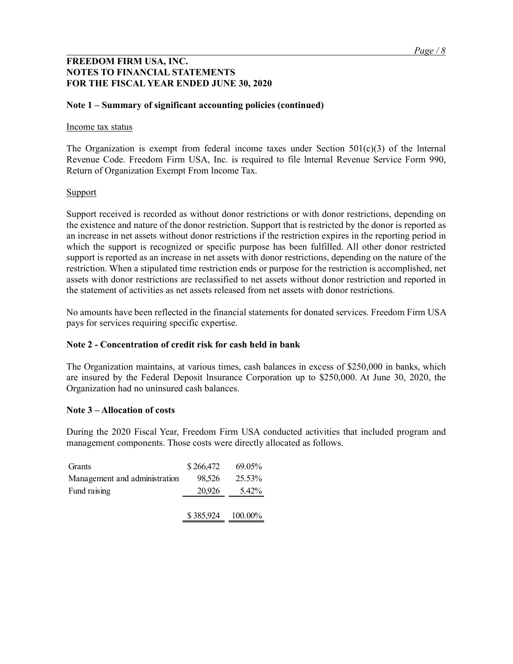## FREEDOM FIRM USA, INC. NOTES TO FINANCIAL STATEMENTS FOR THE FISCAL YEAR ENDED JUNE 30, 2020

### Note 1 – Summary of significant accounting policies (continued)

#### Income tax status

The Organization is exempt from federal income taxes under Section  $501(c)(3)$  of the Internal Revenue Code. Freedom Firm USA, Inc. is required to file lnternal Revenue Service Form 990, Return of Organization Exempt From lncome Tax.

### **Support**

Support received is recorded as without donor restrictions or with donor restrictions, depending on the existence and nature of the donor restriction. Support that is restricted by the donor is reported as an increase in net assets without donor restrictions if the restriction expires in the reporting period in which the support is recognized or specific purpose has been fulfilled. All other donor restricted support is reported as an increase in net assets with donor restrictions, depending on the nature of the restriction. When a stipulated time restriction ends or purpose for the restriction is accomplished, net assets with donor restrictions are reclassified to net assets without donor restriction and reported in the statement of activities as net assets released from net assets with donor restrictions. mean us suppent is reported as an increase or spectral parabox and social name and supper<br>signification. When a stipulated time restrictions and spending on the nature of the<br>estictions. When a stipulated time restriction estriction. When a stipulated time restriction ends or purpose for the restriction is accomplished, net<br>sistes with donor restrictions are reclassifed to net assets without donor restriction and reported in<br>the statement

No amounts have been reflected in the financial statements for donated services. Freedom Firm USA pays for services requiring specific expertise.

### Note 2 - Concentration of credit risk for cash held in bank

The Organization maintains, at various times, cash balances in excess of \$250,000 in banks, which are insured by the Federal Deposit lnsurance Corporation up to \$250,000. At June 30, 2020, the Organization had no uninsured cash balances. assets with donor restrictions are reclassified to net assets without donor restriction and reported in<br>the statement of activities as net assets released from net assets with donor restrictions.<br>No amounts have been refle

#### Note 3 – Allocation of costs

During the 2020 Fiscal Year, Freedom Firm USA conducted activities that included program and management components. Those costs were directly allocated as follows.

| Grants                        | \$266,472 | 69.05%  |
|-------------------------------|-----------|---------|
| Management and administration | 98,526    | 25.53%  |
| Fund raising                  | 20,926    | 5.42%   |
|                               |           |         |
|                               | \$385,924 | 100.00% |